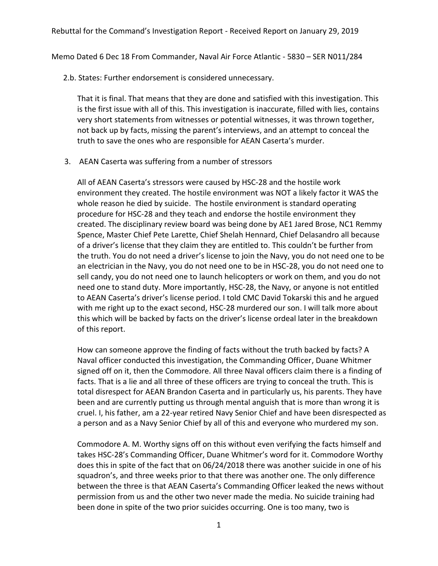Memo Dated 6 Dec 18 From Commander, Naval Air Force Atlantic - 5830 – SER N011/284

2.b. States: Further endorsement is considered unnecessary.

That it is final. That means that they are done and satisfied with this investigation. This is the first issue with all of this. This investigation is inaccurate, filled with lies, contains very short statements from witnesses or potential witnesses, it was thrown together, not back up by facts, missing the parent's interviews, and an attempt to conceal the truth to save the ones who are responsible for AEAN Caserta's murder.

3. AEAN Caserta was suffering from a number of stressors

All of AEAN Caserta's stressors were caused by HSC-28 and the hostile work environment they created. The hostile environment was NOT a likely factor it WAS the whole reason he died by suicide. The hostile environment is standard operating procedure for HSC-28 and they teach and endorse the hostile environment they created. The disciplinary review board was being done by AE1 Jared Brose, NC1 Remmy Spence, Master Chief Pete Larette, Chief Shelah Hennard, Chief Delasandro all because of a driver's license that they claim they are entitled to. This couldn't be further from the truth. You do not need a driver's license to join the Navy, you do not need one to be an electrician in the Navy, you do not need one to be in HSC-28, you do not need one to sell candy, you do not need one to launch helicopters or work on them, and you do not need one to stand duty. More importantly, HSC-28, the Navy, or anyone is not entitled to AEAN Caserta's driver's license period. I told CMC David Tokarski this and he argued with me right up to the exact second, HSC-28 murdered our son. I will talk more about this which will be backed by facts on the driver's license ordeal later in the breakdown of this report.

How can someone approve the finding of facts without the truth backed by facts? A Naval officer conducted this investigation, the Commanding Officer, Duane Whitmer signed off on it, then the Commodore. All three Naval officers claim there is a finding of facts. That is a lie and all three of these officers are trying to conceal the truth. This is total disrespect for AEAN Brandon Caserta and in particularly us, his parents. They have been and are currently putting us through mental anguish that is more than wrong it is cruel. I, his father, am a 22-year retired Navy Senior Chief and have been disrespected as a person and as a Navy Senior Chief by all of this and everyone who murdered my son.

Commodore A. M. Worthy signs off on this without even verifying the facts himself and takes HSC-28's Commanding Officer, Duane Whitmer's word for it. Commodore Worthy does this in spite of the fact that on 06/24/2018 there was another suicide in one of his squadron's, and three weeks prior to that there was another one. The only difference between the three is that AEAN Caserta's Commanding Officer leaked the news without permission from us and the other two never made the media. No suicide training had been done in spite of the two prior suicides occurring. One is too many, two is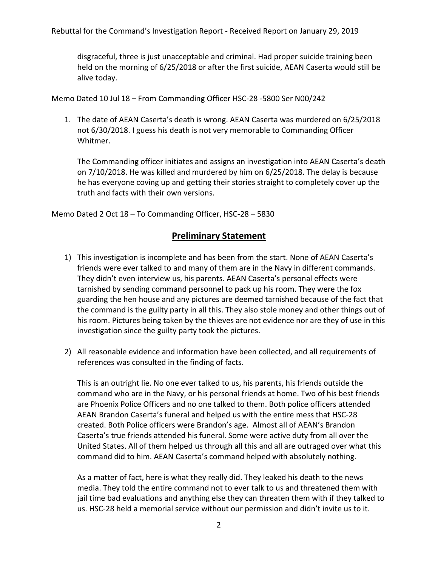disgraceful, three is just unacceptable and criminal. Had proper suicide training been held on the morning of 6/25/2018 or after the first suicide, AEAN Caserta would still be alive today.

Memo Dated 10 Jul 18 – From Commanding Officer HSC-28 -5800 Ser N00/242

1. The date of AEAN Caserta's death is wrong. AEAN Caserta was murdered on 6/25/2018 not 6/30/2018. I guess his death is not very memorable to Commanding Officer Whitmer.

The Commanding officer initiates and assigns an investigation into AEAN Caserta's death on 7/10/2018. He was killed and murdered by him on 6/25/2018. The delay is because he has everyone coving up and getting their stories straight to completely cover up the truth and facts with their own versions.

Memo Dated 2 Oct 18 – To Commanding Officer, HSC-28 – 5830

## **Preliminary Statement**

- 1) This investigation is incomplete and has been from the start. None of AEAN Caserta's friends were ever talked to and many of them are in the Navy in different commands. They didn't even interview us, his parents. AEAN Caserta's personal effects were tarnished by sending command personnel to pack up his room. They were the fox guarding the hen house and any pictures are deemed tarnished because of the fact that the command is the guilty party in all this. They also stole money and other things out of his room. Pictures being taken by the thieves are not evidence nor are they of use in this investigation since the guilty party took the pictures.
- 2) All reasonable evidence and information have been collected, and all requirements of references was consulted in the finding of facts.

This is an outright lie. No one ever talked to us, his parents, his friends outside the command who are in the Navy, or his personal friends at home. Two of his best friends are Phoenix Police Officers and no one talked to them. Both police officers attended AEAN Brandon Caserta's funeral and helped us with the entire mess that HSC-28 created. Both Police officers were Brandon's age. Almost all of AEAN's Brandon Caserta's true friends attended his funeral. Some were active duty from all over the United States. All of them helped us through all this and all are outraged over what this command did to him. AEAN Caserta's command helped with absolutely nothing.

As a matter of fact, here is what they really did. They leaked his death to the news media. They told the entire command not to ever talk to us and threatened them with jail time bad evaluations and anything else they can threaten them with if they talked to us. HSC-28 held a memorial service without our permission and didn't invite us to it.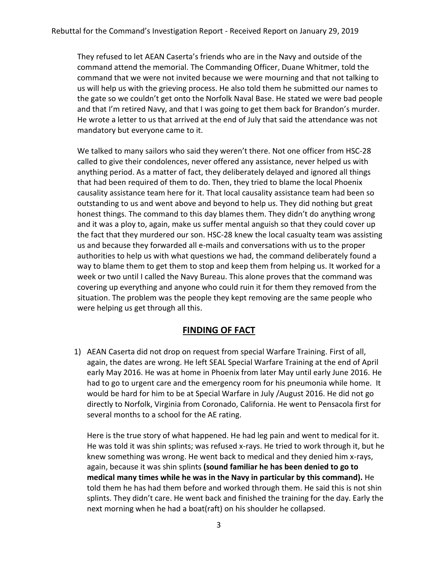They refused to let AEAN Caserta's friends who are in the Navy and outside of the command attend the memorial. The Commanding Officer, Duane Whitmer, told the command that we were not invited because we were mourning and that not talking to us will help us with the grieving process. He also told them he submitted our names to the gate so we couldn't get onto the Norfolk Naval Base. He stated we were bad people and that I'm retired Navy, and that I was going to get them back for Brandon's murder. He wrote a letter to us that arrived at the end of July that said the attendance was not mandatory but everyone came to it.

We talked to many sailors who said they weren't there. Not one officer from HSC-28 called to give their condolences, never offered any assistance, never helped us with anything period. As a matter of fact, they deliberately delayed and ignored all things that had been required of them to do. Then, they tried to blame the local Phoenix causality assistance team here for it. That local causality assistance team had been so outstanding to us and went above and beyond to help us. They did nothing but great honest things. The command to this day blames them. They didn't do anything wrong and it was a ploy to, again, make us suffer mental anguish so that they could cover up the fact that they murdered our son. HSC-28 knew the local casualty team was assisting us and because they forwarded all e-mails and conversations with us to the proper authorities to help us with what questions we had, the command deliberately found a way to blame them to get them to stop and keep them from helping us. It worked for a week or two until I called the Navy Bureau. This alone proves that the command was covering up everything and anyone who could ruin it for them they removed from the situation. The problem was the people they kept removing are the same people who were helping us get through all this.

## **FINDING OF FACT**

1) AEAN Caserta did not drop on request from special Warfare Training. First of all, again, the dates are wrong. He left SEAL Special Warfare Training at the end of April early May 2016. He was at home in Phoenix from later May until early June 2016. He had to go to urgent care and the emergency room for his pneumonia while home. It would be hard for him to be at Special Warfare in July /August 2016. He did not go directly to Norfolk, Virginia from Coronado, California. He went to Pensacola first for several months to a school for the AE rating.

Here is the true story of what happened. He had leg pain and went to medical for it. He was told it was shin splints; was refused x-rays. He tried to work through it, but he knew something was wrong. He went back to medical and they denied him x-rays, again, because it was shin splints **(sound familiar he has been denied to go to medical many times while he was in the Navy in particular by this command).** He told them he has had them before and worked through them. He said this is not shin splints. They didn't care. He went back and finished the training for the day. Early the next morning when he had a boat(raft) on his shoulder he collapsed.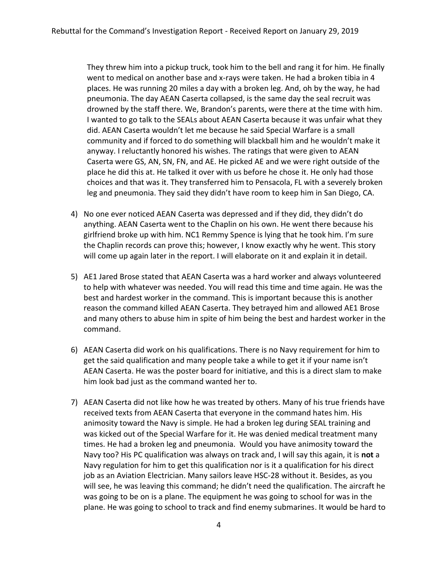They threw him into a pickup truck, took him to the bell and rang it for him. He finally went to medical on another base and x-rays were taken. He had a broken tibia in 4 places. He was running 20 miles a day with a broken leg. And, oh by the way, he had pneumonia. The day AEAN Caserta collapsed, is the same day the seal recruit was drowned by the staff there. We, Brandon's parents, were there at the time with him. I wanted to go talk to the SEALs about AEAN Caserta because it was unfair what they did. AEAN Caserta wouldn't let me because he said Special Warfare is a small community and if forced to do something will blackball him and he wouldn't make it anyway. I reluctantly honored his wishes. The ratings that were given to AEAN Caserta were GS, AN, SN, FN, and AE. He picked AE and we were right outside of the place he did this at. He talked it over with us before he chose it. He only had those choices and that was it. They transferred him to Pensacola, FL with a severely broken leg and pneumonia. They said they didn't have room to keep him in San Diego, CA.

- 4) No one ever noticed AEAN Caserta was depressed and if they did, they didn't do anything. AEAN Caserta went to the Chaplin on his own. He went there because his girlfriend broke up with him. NC1 Remmy Spence is lying that he took him. I'm sure the Chaplin records can prove this; however, I know exactly why he went. This story will come up again later in the report. I will elaborate on it and explain it in detail.
- 5) AE1 Jared Brose stated that AEAN Caserta was a hard worker and always volunteered to help with whatever was needed. You will read this time and time again. He was the best and hardest worker in the command. This is important because this is another reason the command killed AEAN Caserta. They betrayed him and allowed AE1 Brose and many others to abuse him in spite of him being the best and hardest worker in the command.
- 6) AEAN Caserta did work on his qualifications. There is no Navy requirement for him to get the said qualification and many people take a while to get it if your name isn't AEAN Caserta. He was the poster board for initiative, and this is a direct slam to make him look bad just as the command wanted her to.
- 7) AEAN Caserta did not like how he was treated by others. Many of his true friends have received texts from AEAN Caserta that everyone in the command hates him. His animosity toward the Navy is simple. He had a broken leg during SEAL training and was kicked out of the Special Warfare for it. He was denied medical treatment many times. He had a broken leg and pneumonia. Would you have animosity toward the Navy too? His PC qualification was always on track and, I will say this again, it is **not** a Navy regulation for him to get this qualification nor is it a qualification for his direct job as an Aviation Electrician. Many sailors leave HSC-28 without it. Besides, as you will see, he was leaving this command; he didn't need the qualification. The aircraft he was going to be on is a plane. The equipment he was going to school for was in the plane. He was going to school to track and find enemy submarines. It would be hard to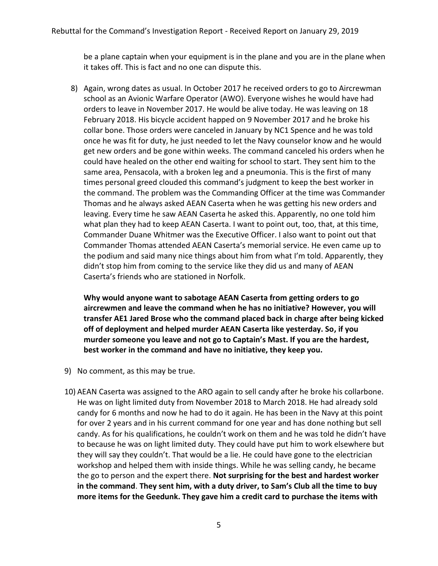be a plane captain when your equipment is in the plane and you are in the plane when it takes off. This is fact and no one can dispute this.

8) Again, wrong dates as usual. In October 2017 he received orders to go to Aircrewman school as an Avionic Warfare Operator (AWO). Everyone wishes he would have had orders to leave in November 2017. He would be alive today. He was leaving on 18 February 2018. His bicycle accident happed on 9 November 2017 and he broke his collar bone. Those orders were canceled in January by NC1 Spence and he was told once he was fit for duty, he just needed to let the Navy counselor know and he would get new orders and be gone within weeks. The command canceled his orders when he could have healed on the other end waiting for school to start. They sent him to the same area, Pensacola, with a broken leg and a pneumonia. This is the first of many times personal greed clouded this command's judgment to keep the best worker in the command. The problem was the Commanding Officer at the time was Commander Thomas and he always asked AEAN Caserta when he was getting his new orders and leaving. Every time he saw AEAN Caserta he asked this. Apparently, no one told him what plan they had to keep AEAN Caserta. I want to point out, too, that, at this time, Commander Duane Whitmer was the Executive Officer. I also want to point out that Commander Thomas attended AEAN Caserta's memorial service. He even came up to the podium and said many nice things about him from what I'm told. Apparently, they didn't stop him from coming to the service like they did us and many of AEAN Caserta's friends who are stationed in Norfolk.

**Why would anyone want to sabotage AEAN Caserta from getting orders to go aircrewmen and leave the command when he has no initiative? However, you will transfer AE1 Jared Brose who the command placed back in charge after being kicked off of deployment and helped murder AEAN Caserta like yesterday. So, if you murder someone you leave and not go to Captain's Mast. If you are the hardest, best worker in the command and have no initiative, they keep you.**

- 9) No comment, as this may be true.
- 10) AEAN Caserta was assigned to the ARO again to sell candy after he broke his collarbone. He was on light limited duty from November 2018 to March 2018. He had already sold candy for 6 months and now he had to do it again. He has been in the Navy at this point for over 2 years and in his current command for one year and has done nothing but sell candy. As for his qualifications, he couldn't work on them and he was told he didn't have to because he was on light limited duty. They could have put him to work elsewhere but they will say they couldn't. That would be a lie. He could have gone to the electrician workshop and helped them with inside things. While he was selling candy, he became the go to person and the expert there. **Not surprising for the best and hardest worker in the command**. **They sent him, with a duty driver, to Sam's Club all the time to buy more items for the Geedunk. They gave him a credit card to purchase the items with**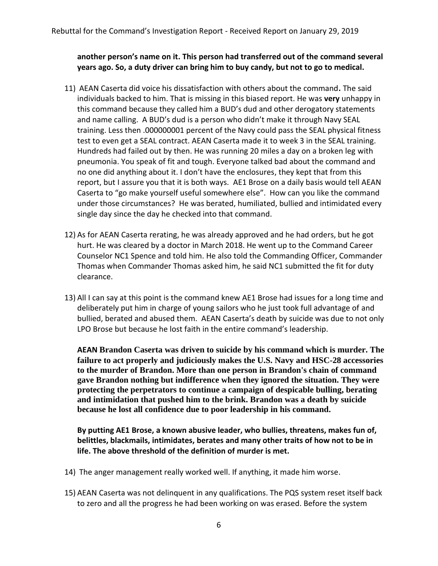**another person's name on it. This person had transferred out of the command several years ago. So, a duty driver can bring him to buy candy, but not to go to medical.** 

- 11) AEAN Caserta did voice his dissatisfaction with others about the command**.** The said individuals backed to him. That is missing in this biased report. He was **very** unhappy in this command because they called him a BUD's dud and other derogatory statements and name calling. A BUD's dud is a person who didn't make it through Navy SEAL training. Less then .000000001 percent of the Navy could pass the SEAL physical fitness test to even get a SEAL contract. AEAN Caserta made it to week 3 in the SEAL training. Hundreds had failed out by then. He was running 20 miles a day on a broken leg with pneumonia. You speak of fit and tough. Everyone talked bad about the command and no one did anything about it. I don't have the enclosures, they kept that from this report, but I assure you that it is both ways. AE1 Brose on a daily basis would tell AEAN Caserta to "go make yourself useful somewhere else". How can you like the command under those circumstances? He was berated, humiliated, bullied and intimidated every single day since the day he checked into that command.
- 12) As for AEAN Caserta rerating, he was already approved and he had orders, but he got hurt. He was cleared by a doctor in March 2018. He went up to the Command Career Counselor NC1 Spence and told him. He also told the Commanding Officer, Commander Thomas when Commander Thomas asked him, he said NC1 submitted the fit for duty clearance.
- 13) All I can say at this point is the command knew AE1 Brose had issues for a long time and deliberately put him in charge of young sailors who he just took full advantage of and bullied, berated and abused them. AEAN Caserta's death by suicide was due to not only LPO Brose but because he lost faith in the entire command's leadership.

**AEAN Brandon Caserta was driven to suicide by his command which is murder. The failure to act properly and judiciously makes the U.S. Navy and HSC-28 accessories to the murder of Brandon. More than one person in Brandon's chain of command gave Brandon nothing but indifference when they ignored the situation. They were protecting the perpetrators to continue a campaign of despicable bulling, berating and intimidation that pushed him to the brink. Brandon was a death by suicide because he lost all confidence due to poor leadership in his command.** 

**By putting AE1 Brose, a known abusive leader, who bullies, threatens, makes fun of, belittles, blackmails, intimidates, berates and many other traits of how not to be in life. The above threshold of the definition of murder is met.** 

- 14) The anger management really worked well. If anything, it made him worse.
- 15) AEAN Caserta was not delinquent in any qualifications. The PQS system reset itself back to zero and all the progress he had been working on was erased. Before the system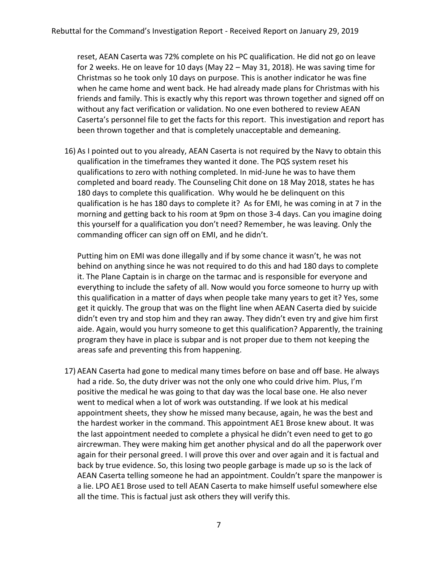reset, AEAN Caserta was 72% complete on his PC qualification. He did not go on leave for 2 weeks. He on leave for 10 days (May 22 – May 31, 2018). He was saving time for Christmas so he took only 10 days on purpose. This is another indicator he was fine when he came home and went back. He had already made plans for Christmas with his friends and family. This is exactly why this report was thrown together and signed off on without any fact verification or validation. No one even bothered to review AEAN Caserta's personnel file to get the facts for this report. This investigation and report has been thrown together and that is completely unacceptable and demeaning.

16) As I pointed out to you already, AEAN Caserta is not required by the Navy to obtain this qualification in the timeframes they wanted it done. The PQS system reset his qualifications to zero with nothing completed. In mid-June he was to have them completed and board ready. The Counseling Chit done on 18 May 2018, states he has 180 days to complete this qualification. Why would he be delinquent on this qualification is he has 180 days to complete it? As for EMI, he was coming in at 7 in the morning and getting back to his room at 9pm on those 3-4 days. Can you imagine doing this yourself for a qualification you don't need? Remember, he was leaving. Only the commanding officer can sign off on EMI, and he didn't.

Putting him on EMI was done illegally and if by some chance it wasn't, he was not behind on anything since he was not required to do this and had 180 days to complete it. The Plane Captain is in charge on the tarmac and is responsible for everyone and everything to include the safety of all. Now would you force someone to hurry up with this qualification in a matter of days when people take many years to get it? Yes, some get it quickly. The group that was on the flight line when AEAN Caserta died by suicide didn't even try and stop him and they ran away. They didn't even try and give him first aide. Again, would you hurry someone to get this qualification? Apparently, the training program they have in place is subpar and is not proper due to them not keeping the areas safe and preventing this from happening.

17) AEAN Caserta had gone to medical many times before on base and off base. He always had a ride. So, the duty driver was not the only one who could drive him. Plus, I'm positive the medical he was going to that day was the local base one. He also never went to medical when a lot of work was outstanding. If we look at his medical appointment sheets, they show he missed many because, again, he was the best and the hardest worker in the command. This appointment AE1 Brose knew about. It was the last appointment needed to complete a physical he didn't even need to get to go aircrewman. They were making him get another physical and do all the paperwork over again for their personal greed. I will prove this over and over again and it is factual and back by true evidence. So, this losing two people garbage is made up so is the lack of AEAN Caserta telling someone he had an appointment. Couldn't spare the manpower is a lie. LPO AE1 Brose used to tell AEAN Caserta to make himself useful somewhere else all the time. This is factual just ask others they will verify this.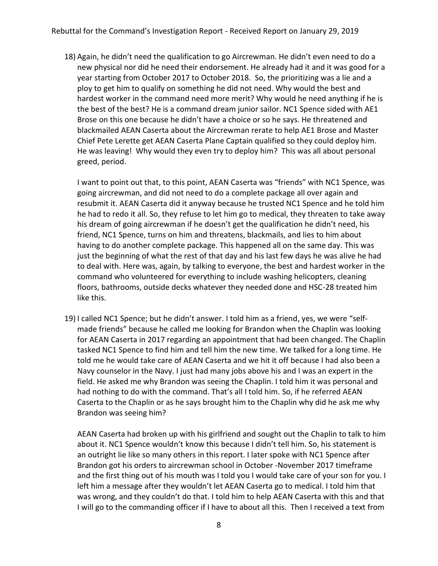18) Again, he didn't need the qualification to go Aircrewman. He didn't even need to do a new physical nor did he need their endorsement. He already had it and it was good for a year starting from October 2017 to October 2018. So, the prioritizing was a lie and a ploy to get him to qualify on something he did not need. Why would the best and hardest worker in the command need more merit? Why would he need anything if he is the best of the best? He is a command dream junior sailor. NC1 Spence sided with AE1 Brose on this one because he didn't have a choice or so he says. He threatened and blackmailed AEAN Caserta about the Aircrewman rerate to help AE1 Brose and Master Chief Pete Lerette get AEAN Caserta Plane Captain qualified so they could deploy him. He was leaving! Why would they even try to deploy him? This was all about personal greed, period.

I want to point out that, to this point, AEAN Caserta was "friends" with NC1 Spence, was going aircrewman, and did not need to do a complete package all over again and resubmit it. AEAN Caserta did it anyway because he trusted NC1 Spence and he told him he had to redo it all. So, they refuse to let him go to medical, they threaten to take away his dream of going aircrewman if he doesn't get the qualification he didn't need, his friend, NC1 Spence, turns on him and threatens, blackmails, and lies to him about having to do another complete package. This happened all on the same day. This was just the beginning of what the rest of that day and his last few days he was alive he had to deal with. Here was, again, by talking to everyone, the best and hardest worker in the command who volunteered for everything to include washing helicopters, cleaning floors, bathrooms, outside decks whatever they needed done and HSC-28 treated him like this.

19) I called NC1 Spence; but he didn't answer. I told him as a friend, yes, we were "selfmade friends" because he called me looking for Brandon when the Chaplin was looking for AEAN Caserta in 2017 regarding an appointment that had been changed. The Chaplin tasked NC1 Spence to find him and tell him the new time. We talked for a long time. He told me he would take care of AEAN Caserta and we hit it off because I had also been a Navy counselor in the Navy. I just had many jobs above his and I was an expert in the field. He asked me why Brandon was seeing the Chaplin. I told him it was personal and had nothing to do with the command. That's all I told him. So, if he referred AEAN Caserta to the Chaplin or as he says brought him to the Chaplin why did he ask me why Brandon was seeing him?

AEAN Caserta had broken up with his girlfriend and sought out the Chaplin to talk to him about it. NC1 Spence wouldn't know this because I didn't tell him. So, his statement is an outright lie like so many others in this report. I later spoke with NC1 Spence after Brandon got his orders to aircrewman school in October -November 2017 timeframe and the first thing out of his mouth was I told you I would take care of your son for you. I left him a message after they wouldn't let AEAN Caserta go to medical. I told him that was wrong, and they couldn't do that. I told him to help AEAN Caserta with this and that I will go to the commanding officer if I have to about all this. Then I received a text from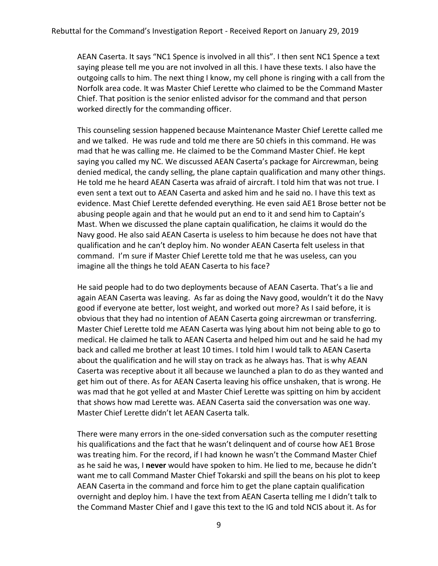AEAN Caserta. It says "NC1 Spence is involved in all this". I then sent NC1 Spence a text saying please tell me you are not involved in all this. I have these texts. I also have the outgoing calls to him. The next thing I know, my cell phone is ringing with a call from the Norfolk area code. It was Master Chief Lerette who claimed to be the Command Master Chief. That position is the senior enlisted advisor for the command and that person worked directly for the commanding officer.

This counseling session happened because Maintenance Master Chief Lerette called me and we talked. He was rude and told me there are 50 chiefs in this command. He was mad that he was calling me. He claimed to be the Command Master Chief. He kept saying you called my NC. We discussed AEAN Caserta's package for Aircrewman, being denied medical, the candy selling, the plane captain qualification and many other things. He told me he heard AEAN Caserta was afraid of aircraft. I told him that was not true. I even sent a text out to AEAN Caserta and asked him and he said no. I have this text as evidence. Mast Chief Lerette defended everything. He even said AE1 Brose better not be abusing people again and that he would put an end to it and send him to Captain's Mast. When we discussed the plane captain qualification, he claims it would do the Navy good. He also said AEAN Caserta is useless to him because he does not have that qualification and he can't deploy him. No wonder AEAN Caserta felt useless in that command. I'm sure if Master Chief Lerette told me that he was useless, can you imagine all the things he told AEAN Caserta to his face?

He said people had to do two deployments because of AEAN Caserta. That's a lie and again AEAN Caserta was leaving. As far as doing the Navy good, wouldn't it do the Navy good if everyone ate better, lost weight, and worked out more? As I said before, it is obvious that they had no intention of AEAN Caserta going aircrewman or transferring. Master Chief Lerette told me AEAN Caserta was lying about him not being able to go to medical. He claimed he talk to AEAN Caserta and helped him out and he said he had my back and called me brother at least 10 times. I told him I would talk to AEAN Caserta about the qualification and he will stay on track as he always has. That is why AEAN Caserta was receptive about it all because we launched a plan to do as they wanted and get him out of there. As for AEAN Caserta leaving his office unshaken, that is wrong. He was mad that he got yelled at and Master Chief Lerette was spitting on him by accident that shows how mad Lerette was. AEAN Caserta said the conversation was one way. Master Chief Lerette didn't let AEAN Caserta talk.

There were many errors in the one-sided conversation such as the computer resetting his qualifications and the fact that he wasn't delinquent and of course how AE1 Brose was treating him. For the record, if I had known he wasn't the Command Master Chief as he said he was, I **never** would have spoken to him. He lied to me, because he didn't want me to call Command Master Chief Tokarski and spill the beans on his plot to keep AEAN Caserta in the command and force him to get the plane captain qualification overnight and deploy him. I have the text from AEAN Caserta telling me I didn't talk to the Command Master Chief and I gave this text to the IG and told NCIS about it. As for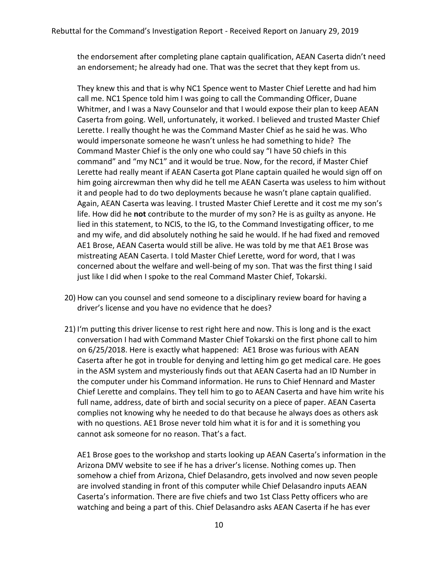the endorsement after completing plane captain qualification, AEAN Caserta didn't need an endorsement; he already had one. That was the secret that they kept from us.

They knew this and that is why NC1 Spence went to Master Chief Lerette and had him call me. NC1 Spence told him I was going to call the Commanding Officer, Duane Whitmer, and I was a Navy Counselor and that I would expose their plan to keep AEAN Caserta from going. Well, unfortunately, it worked. I believed and trusted Master Chief Lerette. I really thought he was the Command Master Chief as he said he was. Who would impersonate someone he wasn't unless he had something to hide? The Command Master Chief is the only one who could say "I have 50 chiefs in this command" and "my NC1" and it would be true. Now, for the record, if Master Chief Lerette had really meant if AEAN Caserta got Plane captain quailed he would sign off on him going aircrewman then why did he tell me AEAN Caserta was useless to him without it and people had to do two deployments because he wasn't plane captain qualified. Again, AEAN Caserta was leaving. I trusted Master Chief Lerette and it cost me my son's life. How did he **not** contribute to the murder of my son? He is as guilty as anyone. He lied in this statement, to NCIS, to the IG, to the Command Investigating officer, to me and my wife, and did absolutely nothing he said he would. If he had fixed and removed AE1 Brose, AEAN Caserta would still be alive. He was told by me that AE1 Brose was mistreating AEAN Caserta. I told Master Chief Lerette, word for word, that I was concerned about the welfare and well-being of my son. That was the first thing I said just like I did when I spoke to the real Command Master Chief, Tokarski.

- 20) How can you counsel and send someone to a disciplinary review board for having a driver's license and you have no evidence that he does?
- 21) I'm putting this driver license to rest right here and now. This is long and is the exact conversation I had with Command Master Chief Tokarski on the first phone call to him on 6/25/2018. Here is exactly what happened: AE1 Brose was furious with AEAN Caserta after he got in trouble for denying and letting him go get medical care. He goes in the ASM system and mysteriously finds out that AEAN Caserta had an ID Number in the computer under his Command information. He runs to Chief Hennard and Master Chief Lerette and complains. They tell him to go to AEAN Caserta and have him write his full name, address, date of birth and social security on a piece of paper. AEAN Caserta complies not knowing why he needed to do that because he always does as others ask with no questions. AE1 Brose never told him what it is for and it is something you cannot ask someone for no reason. That's a fact.

AE1 Brose goes to the workshop and starts looking up AEAN Caserta's information in the Arizona DMV website to see if he has a driver's license. Nothing comes up. Then somehow a chief from Arizona, Chief Delasandro, gets involved and now seven people are involved standing in front of this computer while Chief Delasandro inputs AEAN Caserta's information. There are five chiefs and two 1st Class Petty officers who are watching and being a part of this. Chief Delasandro asks AEAN Caserta if he has ever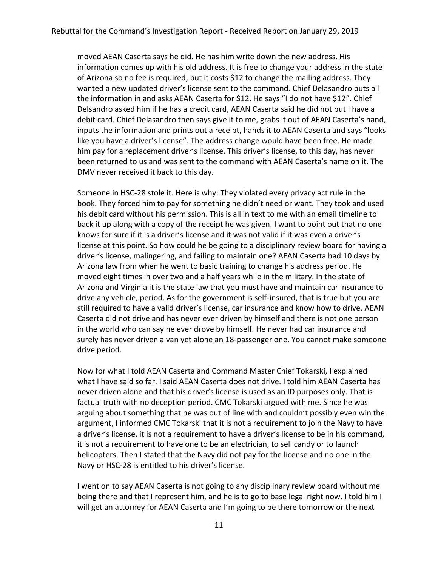moved AEAN Caserta says he did. He has him write down the new address. His information comes up with his old address. It is free to change your address in the state of Arizona so no fee is required, but it costs \$12 to change the mailing address. They wanted a new updated driver's license sent to the command. Chief Delasandro puts all the information in and asks AEAN Caserta for \$12. He says "I do not have \$12". Chief Delsandro asked him if he has a credit card, AEAN Caserta said he did not but I have a debit card. Chief Delasandro then says give it to me, grabs it out of AEAN Caserta's hand, inputs the information and prints out a receipt, hands it to AEAN Caserta and says "looks like you have a driver's license". The address change would have been free. He made him pay for a replacement driver's license. This driver's license, to this day, has never been returned to us and was sent to the command with AEAN Caserta's name on it. The DMV never received it back to this day.

Someone in HSC-28 stole it. Here is why: They violated every privacy act rule in the book. They forced him to pay for something he didn't need or want. They took and used his debit card without his permission. This is all in text to me with an email timeline to back it up along with a copy of the receipt he was given. I want to point out that no one knows for sure if it is a driver's license and it was not valid if it was even a driver's license at this point. So how could he be going to a disciplinary review board for having a driver's license, malingering, and failing to maintain one? AEAN Caserta had 10 days by Arizona law from when he went to basic training to change his address period. He moved eight times in over two and a half years while in the military. In the state of Arizona and Virginia it is the state law that you must have and maintain car insurance to drive any vehicle, period. As for the government is self-insured, that is true but you are still required to have a valid driver's license, car insurance and know how to drive. AEAN Caserta did not drive and has never ever driven by himself and there is not one person in the world who can say he ever drove by himself. He never had car insurance and surely has never driven a van yet alone an 18-passenger one. You cannot make someone drive period.

Now for what I told AEAN Caserta and Command Master Chief Tokarski, I explained what I have said so far. I said AEAN Caserta does not drive. I told him AEAN Caserta has never driven alone and that his driver's license is used as an ID purposes only. That is factual truth with no deception period. CMC Tokarski argued with me. Since he was arguing about something that he was out of line with and couldn't possibly even win the argument, I informed CMC Tokarski that it is not a requirement to join the Navy to have a driver's license, it is not a requirement to have a driver's license to be in his command, it is not a requirement to have one to be an electrician, to sell candy or to launch helicopters. Then I stated that the Navy did not pay for the license and no one in the Navy or HSC-28 is entitled to his driver's license.

I went on to say AEAN Caserta is not going to any disciplinary review board without me being there and that I represent him, and he is to go to base legal right now. I told him I will get an attorney for AEAN Caserta and I'm going to be there tomorrow or the next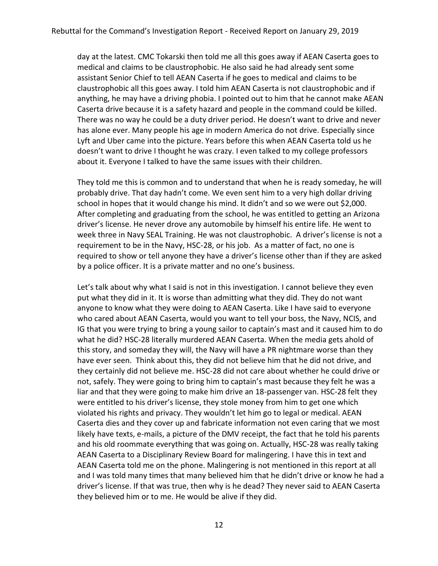day at the latest. CMC Tokarski then told me all this goes away if AEAN Caserta goes to medical and claims to be claustrophobic. He also said he had already sent some assistant Senior Chief to tell AEAN Caserta if he goes to medical and claims to be claustrophobic all this goes away. I told him AEAN Caserta is not claustrophobic and if anything, he may have a driving phobia. I pointed out to him that he cannot make AEAN Caserta drive because it is a safety hazard and people in the command could be killed. There was no way he could be a duty driver period. He doesn't want to drive and never has alone ever. Many people his age in modern America do not drive. Especially since Lyft and Uber came into the picture. Years before this when AEAN Caserta told us he doesn't want to drive I thought he was crazy. I even talked to my college professors about it. Everyone I talked to have the same issues with their children.

They told me this is common and to understand that when he is ready someday, he will probably drive. That day hadn't come. We even sent him to a very high dollar driving school in hopes that it would change his mind. It didn't and so we were out \$2,000. After completing and graduating from the school, he was entitled to getting an Arizona driver's license. He never drove any automobile by himself his entire life. He went to week three in Navy SEAL Training. He was not claustrophobic. A driver's license is not a requirement to be in the Navy, HSC-28, or his job. As a matter of fact, no one is required to show or tell anyone they have a driver's license other than if they are asked by a police officer. It is a private matter and no one's business.

Let's talk about why what I said is not in this investigation. I cannot believe they even put what they did in it. It is worse than admitting what they did. They do not want anyone to know what they were doing to AEAN Caserta. Like I have said to everyone who cared about AEAN Caserta, would you want to tell your boss, the Navy, NCIS, and IG that you were trying to bring a young sailor to captain's mast and it caused him to do what he did? HSC-28 literally murdered AEAN Caserta. When the media gets ahold of this story, and someday they will, the Navy will have a PR nightmare worse than they have ever seen. Think about this, they did not believe him that he did not drive, and they certainly did not believe me. HSC-28 did not care about whether he could drive or not, safely. They were going to bring him to captain's mast because they felt he was a liar and that they were going to make him drive an 18-passenger van. HSC-28 felt they were entitled to his driver's license, they stole money from him to get one which violated his rights and privacy. They wouldn't let him go to legal or medical. AEAN Caserta dies and they cover up and fabricate information not even caring that we most likely have texts, e-mails, a picture of the DMV receipt, the fact that he told his parents and his old roommate everything that was going on. Actually, HSC-28 was really taking AEAN Caserta to a Disciplinary Review Board for malingering. I have this in text and AEAN Caserta told me on the phone. Malingering is not mentioned in this report at all and I was told many times that many believed him that he didn't drive or know he had a driver's license. If that was true, then why is he dead? They never said to AEAN Caserta they believed him or to me. He would be alive if they did.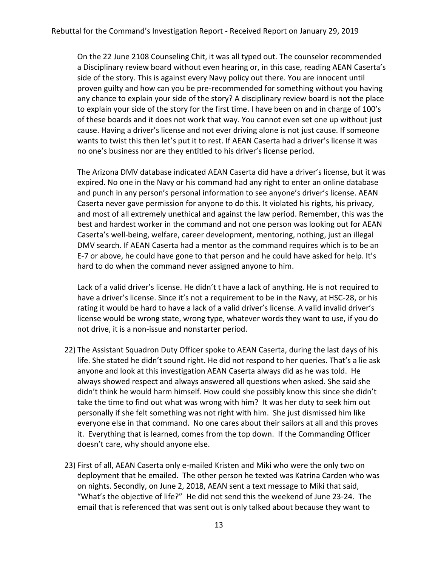On the 22 June 2108 Counseling Chit, it was all typed out. The counselor recommended a Disciplinary review board without even hearing or, in this case, reading AEAN Caserta's side of the story. This is against every Navy policy out there. You are innocent until proven guilty and how can you be pre-recommended for something without you having any chance to explain your side of the story? A disciplinary review board is not the place to explain your side of the story for the first time. I have been on and in charge of 100's of these boards and it does not work that way. You cannot even set one up without just cause. Having a driver's license and not ever driving alone is not just cause. If someone wants to twist this then let's put it to rest. If AEAN Caserta had a driver's license it was no one's business nor are they entitled to his driver's license period.

The Arizona DMV database indicated AEAN Caserta did have a driver's license, but it was expired. No one in the Navy or his command had any right to enter an online database and punch in any person's personal information to see anyone's driver's license. AEAN Caserta never gave permission for anyone to do this. It violated his rights, his privacy, and most of all extremely unethical and against the law period. Remember, this was the best and hardest worker in the command and not one person was looking out for AEAN Caserta's well-being, welfare, career development, mentoring, nothing, just an illegal DMV search. If AEAN Caserta had a mentor as the command requires which is to be an E-7 or above, he could have gone to that person and he could have asked for help. It's hard to do when the command never assigned anyone to him.

Lack of a valid driver's license. He didn't t have a lack of anything. He is not required to have a driver's license. Since it's not a requirement to be in the Navy, at HSC-28, or his rating it would be hard to have a lack of a valid driver's license. A valid invalid driver's license would be wrong state, wrong type, whatever words they want to use, if you do not drive, it is a non-issue and nonstarter period.

- 22) The Assistant Squadron Duty Officer spoke to AEAN Caserta, during the last days of his life. She stated he didn't sound right. He did not respond to her queries. That's a lie ask anyone and look at this investigation AEAN Caserta always did as he was told. He always showed respect and always answered all questions when asked. She said she didn't think he would harm himself. How could she possibly know this since she didn't take the time to find out what was wrong with him? It was her duty to seek him out personally if she felt something was not right with him. She just dismissed him like everyone else in that command. No one cares about their sailors at all and this proves it. Everything that is learned, comes from the top down. If the Commanding Officer doesn't care, why should anyone else.
- 23) First of all, AEAN Caserta only e-mailed Kristen and Miki who were the only two on deployment that he emailed. The other person he texted was Katrina Carden who was on nights. Secondly, on June 2, 2018, AEAN sent a text message to Miki that said, "What's the objective of life?" He did not send this the weekend of June 23-24. The email that is referenced that was sent out is only talked about because they want to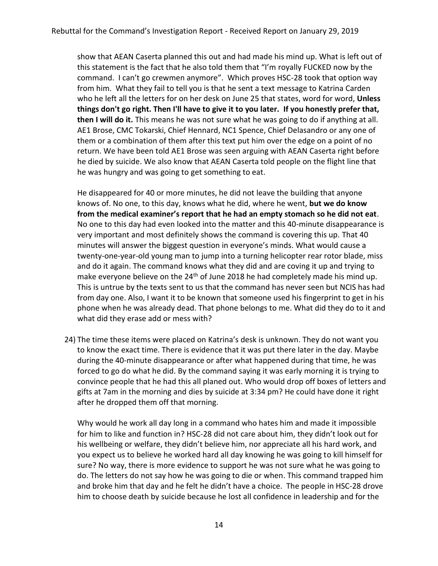show that AEAN Caserta planned this out and had made his mind up. What is left out of this statement is the fact that he also told them that "I'm royally FUCKED now by the command. I can't go crewmen anymore". Which proves HSC-28 took that option way from him. What they fail to tell you is that he sent a text message to Katrina Carden who he left all the letters for on her desk on June 25 that states, word for word, **Unless things don't go right. Then I'll have to give it to you later. If you honestly prefer that, then I will do it.** This means he was not sure what he was going to do if anything at all. AE1 Brose, CMC Tokarski, Chief Hennard, NC1 Spence, Chief Delasandro or any one of them or a combination of them after this text put him over the edge on a point of no return. We have been told AE1 Brose was seen arguing with AEAN Caserta right before he died by suicide. We also know that AEAN Caserta told people on the flight line that he was hungry and was going to get something to eat.

He disappeared for 40 or more minutes, he did not leave the building that anyone knows of. No one, to this day, knows what he did, where he went, **but we do know from the medical examiner's report that he had an empty stomach so he did not eat**. No one to this day had even looked into the matter and this 40-minute disappearance is very important and most definitely shows the command is covering this up. That 40 minutes will answer the biggest question in everyone's minds. What would cause a twenty-one-year-old young man to jump into a turning helicopter rear rotor blade, miss and do it again. The command knows what they did and are coving it up and trying to make everyone believe on the 24<sup>th</sup> of June 2018 he had completely made his mind up. This is untrue by the texts sent to us that the command has never seen but NCIS has had from day one. Also, I want it to be known that someone used his fingerprint to get in his phone when he was already dead. That phone belongs to me. What did they do to it and what did they erase add or mess with?

24) The time these items were placed on Katrina's desk is unknown. They do not want you to know the exact time. There is evidence that it was put there later in the day. Maybe during the 40-minute disappearance or after what happened during that time, he was forced to go do what he did. By the command saying it was early morning it is trying to convince people that he had this all planed out. Who would drop off boxes of letters and gifts at 7am in the morning and dies by suicide at 3:34 pm? He could have done it right after he dropped them off that morning.

Why would he work all day long in a command who hates him and made it impossible for him to like and function in? HSC-28 did not care about him, they didn't look out for his wellbeing or welfare, they didn't believe him, nor appreciate all his hard work, and you expect us to believe he worked hard all day knowing he was going to kill himself for sure? No way, there is more evidence to support he was not sure what he was going to do. The letters do not say how he was going to die or when. This command trapped him and broke him that day and he felt he didn't have a choice. The people in HSC-28 drove him to choose death by suicide because he lost all confidence in leadership and for the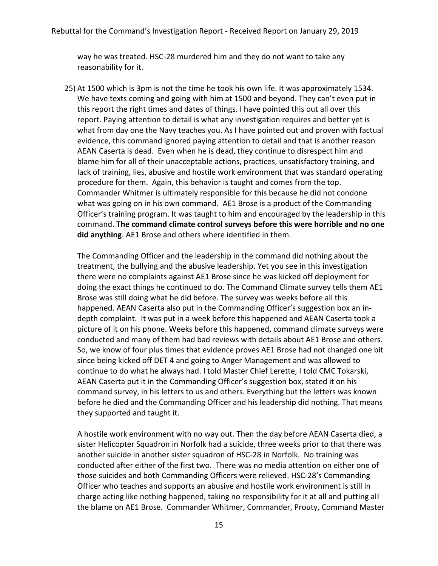way he was treated. HSC-28 murdered him and they do not want to take any reasonability for it.

25) At 1500 which is 3pm is not the time he took his own life. It was approximately 1534. We have texts coming and going with him at 1500 and beyond. They can't even put in this report the right times and dates of things. I have pointed this out all over this report. Paying attention to detail is what any investigation requires and better yet is what from day one the Navy teaches you. As I have pointed out and proven with factual evidence, this command ignored paying attention to detail and that is another reason AEAN Caserta is dead. Even when he is dead, they continue to disrespect him and blame him for all of their unacceptable actions, practices, unsatisfactory training, and lack of training, lies, abusive and hostile work environment that was standard operating procedure for them. Again, this behavior is taught and comes from the top. Commander Whitmer is ultimately responsible for this because he did not condone what was going on in his own command. AE1 Brose is a product of the Commanding Officer's training program. It was taught to him and encouraged by the leadership in this command. **The command climate control surveys before this were horrible and no one did anything**. AE1 Brose and others where identified in them.

The Commanding Officer and the leadership in the command did nothing about the treatment, the bullying and the abusive leadership. Yet you see in this investigation there were no complaints against AE1 Brose since he was kicked off deployment for doing the exact things he continued to do. The Command Climate survey tells them AE1 Brose was still doing what he did before. The survey was weeks before all this happened. AEAN Caserta also put in the Commanding Officer's suggestion box an indepth complaint. It was put in a week before this happened and AEAN Caserta took a picture of it on his phone. Weeks before this happened, command climate surveys were conducted and many of them had bad reviews with details about AE1 Brose and others. So, we know of four plus times that evidence proves AE1 Brose had not changed one bit since being kicked off DET 4 and going to Anger Management and was allowed to continue to do what he always had. I told Master Chief Lerette, I told CMC Tokarski, AEAN Caserta put it in the Commanding Officer's suggestion box, stated it on his command survey, in his letters to us and others. Everything but the letters was known before he died and the Commanding Officer and his leadership did nothing. That means they supported and taught it.

A hostile work environment with no way out. Then the day before AEAN Caserta died, a sister Helicopter Squadron in Norfolk had a suicide, three weeks prior to that there was another suicide in another sister squadron of HSC-28 in Norfolk. No training was conducted after either of the first two. There was no media attention on either one of those suicides and both Commanding Officers were relieved. HSC-28's Commanding Officer who teaches and supports an abusive and hostile work environment is still in charge acting like nothing happened, taking no responsibility for it at all and putting all the blame on AE1 Brose. Commander Whitmer, Commander, Prouty, Command Master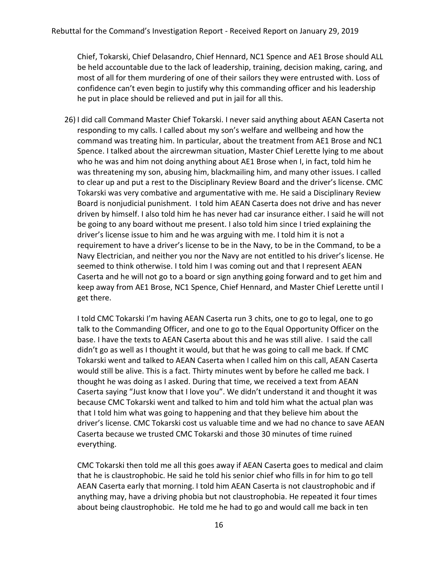Chief, Tokarski, Chief Delasandro, Chief Hennard, NC1 Spence and AE1 Brose should ALL be held accountable due to the lack of leadership, training, decision making, caring, and most of all for them murdering of one of their sailors they were entrusted with. Loss of confidence can't even begin to justify why this commanding officer and his leadership he put in place should be relieved and put in jail for all this.

26) I did call Command Master Chief Tokarski. I never said anything about AEAN Caserta not responding to my calls. I called about my son's welfare and wellbeing and how the command was treating him. In particular, about the treatment from AE1 Brose and NC1 Spence. I talked about the aircrewman situation, Master Chief Lerette lying to me about who he was and him not doing anything about AE1 Brose when I, in fact, told him he was threatening my son, abusing him, blackmailing him, and many other issues. I called to clear up and put a rest to the Disciplinary Review Board and the driver's license. CMC Tokarski was very combative and argumentative with me. He said a Disciplinary Review Board is nonjudicial punishment. I told him AEAN Caserta does not drive and has never driven by himself. I also told him he has never had car insurance either. I said he will not be going to any board without me present. I also told him since I tried explaining the driver's license issue to him and he was arguing with me. I told him it is not a requirement to have a driver's license to be in the Navy, to be in the Command, to be a Navy Electrician, and neither you nor the Navy are not entitled to his driver's license. He seemed to think otherwise. I told him I was coming out and that I represent AEAN Caserta and he will not go to a board or sign anything going forward and to get him and keep away from AE1 Brose, NC1 Spence, Chief Hennard, and Master Chief Lerette until I get there.

I told CMC Tokarski I'm having AEAN Caserta run 3 chits, one to go to legal, one to go talk to the Commanding Officer, and one to go to the Equal Opportunity Officer on the base. I have the texts to AEAN Caserta about this and he was still alive. I said the call didn't go as well as I thought it would, but that he was going to call me back. If CMC Tokarski went and talked to AEAN Caserta when I called him on this call, AEAN Caserta would still be alive. This is a fact. Thirty minutes went by before he called me back. I thought he was doing as I asked. During that time, we received a text from AEAN Caserta saying "Just know that I love you". We didn't understand it and thought it was because CMC Tokarski went and talked to him and told him what the actual plan was that I told him what was going to happening and that they believe him about the driver's license. CMC Tokarski cost us valuable time and we had no chance to save AEAN Caserta because we trusted CMC Tokarski and those 30 minutes of time ruined everything.

CMC Tokarski then told me all this goes away if AEAN Caserta goes to medical and claim that he is claustrophobic. He said he told his senior chief who fills in for him to go tell AEAN Caserta early that morning. I told him AEAN Caserta is not claustrophobic and if anything may, have a driving phobia but not claustrophobia. He repeated it four times about being claustrophobic. He told me he had to go and would call me back in ten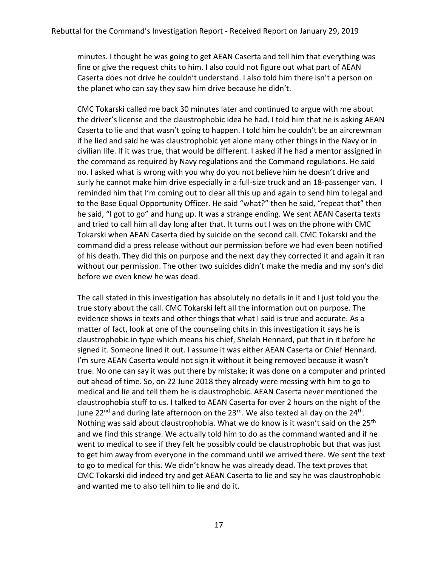minutes. I thought he was going to get AEAN Caserta and tell him that everything was fine or give the request chits to him. I also could not figure out what part of AEAN Caserta does not drive he couldn't understand. I also told him there isn't a person on the planet who can say they saw him drive because he didn't.

CMC Tokarski called me back 30 minutes later and continued to argue with me about the driver's license and the claustrophobic idea he had. I told him that he is asking AEAN Caserta to lie and that wasn't going to happen. I told him he couldn't be an aircrewman if he lied and said he was claustrophobic yet alone many other things in the Navy or in civilian life. If it was true, that would be different. I asked if he had a mentor assigned in the command as required by Navy regulations and the Command regulations. He said no. I asked what is wrong with you why do you not believe him he doesn't drive and surly he cannot make him drive especially in a full-size truck and an 18-passenger van. I reminded him that I'm coming out to clear all this up and again to send him to legal and to the Base Equal Opportunity Officer. He said "what?" then he said, "repeat that" then he said, "I got to go" and hung up. It was a strange ending. We sent AEAN Caserta texts and tried to call him all day long after that. It turns out I was on the phone with CMC Tokarski when AEAN Caserta died by suicide on the second call. CMC Tokarski and the command did a press release without our permission before we had even been notified of his death. They did this on purpose and the next day they corrected it and again it ran without our permission. The other two suicides didn't make the media and my son's did before we even knew he was dead.

The call stated in this investigation has absolutely no details in it and I just told you the true story about the call. CMC Tokarski left all the information out on purpose. The evidence shows in texts and other things that what I said is true and accurate. As a matter of fact, look at one of the counseling chits in this investigation it says he is claustrophobic in type which means his chief, Shelah Hennard, put that in it before he signed it. Someone lined it out. I assume it was either AEAN Caserta or Chief Hennard. I'm sure AEAN Caserta would not sign it without it being removed because it wasn't true. No one can say it was put there by mistake; it was done on a computer and printed out ahead of time. So, on 22 June 2018 they already were messing with him to go to medical and lie and tell them he is claustrophobic. AEAN Caserta never mentioned the claustrophobia stuff to us. I talked to AEAN Caserta for over 2 hours on the night of the June 22<sup>nd</sup> and during late afternoon on the 23<sup>rd</sup>. We also texted all day on the 24<sup>th</sup>. Nothing was said about claustrophobia. What we do know is it wasn't said on the 25<sup>th</sup> and we find this strange. We actually told him to do as the command wanted and if he went to medical to see if they felt he possibly could be claustrophobic but that was just to get him away from everyone in the command until we arrived there. We sent the text to go to medical for this. We didn't know he was already dead. The text proves that CMC Tokarski did indeed try and get AEAN Caserta to lie and say he was claustrophobic and wanted me to also tell him to lie and do it.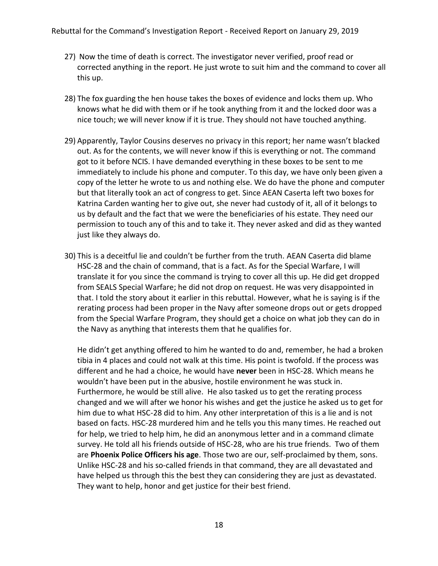- 27) Now the time of death is correct. The investigator never verified, proof read or corrected anything in the report. He just wrote to suit him and the command to cover all this up.
- 28) The fox guarding the hen house takes the boxes of evidence and locks them up. Who knows what he did with them or if he took anything from it and the locked door was a nice touch; we will never know if it is true. They should not have touched anything.
- 29) Apparently, Taylor Cousins deserves no privacy in this report; her name wasn't blacked out. As for the contents, we will never know if this is everything or not. The command got to it before NCIS. I have demanded everything in these boxes to be sent to me immediately to include his phone and computer. To this day, we have only been given a copy of the letter he wrote to us and nothing else. We do have the phone and computer but that literally took an act of congress to get. Since AEAN Caserta left two boxes for Katrina Carden wanting her to give out, she never had custody of it, all of it belongs to us by default and the fact that we were the beneficiaries of his estate. They need our permission to touch any of this and to take it. They never asked and did as they wanted just like they always do.
- 30) This is a deceitful lie and couldn't be further from the truth. AEAN Caserta did blame HSC-28 and the chain of command, that is a fact. As for the Special Warfare, I will translate it for you since the command is trying to cover all this up. He did get dropped from SEALS Special Warfare; he did not drop on request. He was very disappointed in that. I told the story about it earlier in this rebuttal. However, what he is saying is if the rerating process had been proper in the Navy after someone drops out or gets dropped from the Special Warfare Program, they should get a choice on what job they can do in the Navy as anything that interests them that he qualifies for.

He didn't get anything offered to him he wanted to do and, remember, he had a broken tibia in 4 places and could not walk at this time. His point is twofold. If the process was different and he had a choice, he would have **never** been in HSC-28. Which means he wouldn't have been put in the abusive, hostile environment he was stuck in. Furthermore, he would be still alive. He also tasked us to get the rerating process changed and we will after we honor his wishes and get the justice he asked us to get for him due to what HSC-28 did to him. Any other interpretation of this is a lie and is not based on facts. HSC-28 murdered him and he tells you this many times. He reached out for help, we tried to help him, he did an anonymous letter and in a command climate survey. He told all his friends outside of HSC-28, who are his true friends. Two of them are **Phoenix Police Officers his age**. Those two are our, self-proclaimed by them, sons. Unlike HSC-28 and his so-called friends in that command, they are all devastated and have helped us through this the best they can considering they are just as devastated. They want to help, honor and get justice for their best friend.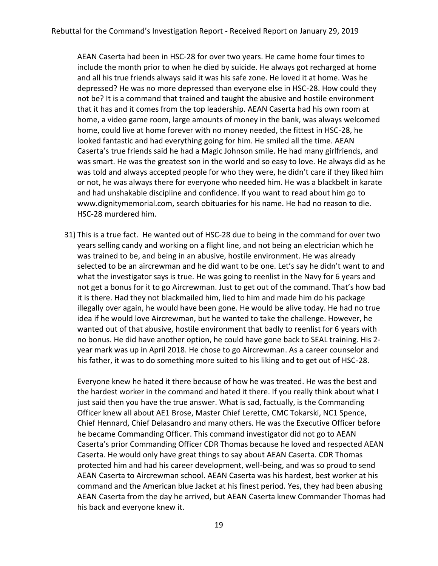AEAN Caserta had been in HSC-28 for over two years. He came home four times to include the month prior to when he died by suicide. He always got recharged at home and all his true friends always said it was his safe zone. He loved it at home. Was he depressed? He was no more depressed than everyone else in HSC-28. How could they not be? It is a command that trained and taught the abusive and hostile environment that it has and it comes from the top leadership. AEAN Caserta had his own room at home, a video game room, large amounts of money in the bank, was always welcomed home, could live at home forever with no money needed, the fittest in HSC-28, he looked fantastic and had everything going for him. He smiled all the time. AEAN Caserta's true friends said he had a Magic Johnson smile. He had many girlfriends, and was smart. He was the greatest son in the world and so easy to love. He always did as he was told and always accepted people for who they were, he didn't care if they liked him or not, he was always there for everyone who needed him. He was a blackbelt in karate and had unshakable discipline and confidence. If you want to read about him go to [www.dignitymemorial.com,](http://www.dignitymemorial.com/) search obituaries for his name. He had no reason to die. HSC-28 murdered him.

31) This is a true fact. He wanted out of HSC-28 due to being in the command for over two years selling candy and working on a flight line, and not being an electrician which he was trained to be, and being in an abusive, hostile environment. He was already selected to be an aircrewman and he did want to be one. Let's say he didn't want to and what the investigator says is true. He was going to reenlist in the Navy for 6 years and not get a bonus for it to go Aircrewman. Just to get out of the command. That's how bad it is there. Had they not blackmailed him, lied to him and made him do his package illegally over again, he would have been gone. He would be alive today. He had no true idea if he would love Aircrewman, but he wanted to take the challenge. However, he wanted out of that abusive, hostile environment that badly to reenlist for 6 years with no bonus. He did have another option, he could have gone back to SEAL training. His 2 year mark was up in April 2018. He chose to go Aircrewman. As a career counselor and his father, it was to do something more suited to his liking and to get out of HSC-28.

Everyone knew he hated it there because of how he was treated. He was the best and the hardest worker in the command and hated it there. If you really think about what I just said then you have the true answer. What is sad, factually, is the Commanding Officer knew all about AE1 Brose, Master Chief Lerette, CMC Tokarski, NC1 Spence, Chief Hennard, Chief Delasandro and many others. He was the Executive Officer before he became Commanding Officer. This command investigator did not go to AEAN Caserta's prior Commanding Officer CDR Thomas because he loved and respected AEAN Caserta. He would only have great things to say about AEAN Caserta. CDR Thomas protected him and had his career development, well-being, and was so proud to send AEAN Caserta to Aircrewman school. AEAN Caserta was his hardest, best worker at his command and the American blue Jacket at his finest period. Yes, they had been abusing AEAN Caserta from the day he arrived, but AEAN Caserta knew Commander Thomas had his back and everyone knew it.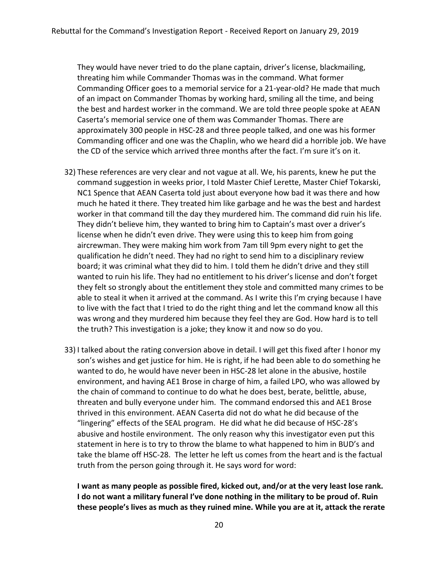They would have never tried to do the plane captain, driver's license, blackmailing, threating him while Commander Thomas was in the command. What former Commanding Officer goes to a memorial service for a 21-year-old? He made that much of an impact on Commander Thomas by working hard, smiling all the time, and being the best and hardest worker in the command. We are told three people spoke at AEAN Caserta's memorial service one of them was Commander Thomas. There are approximately 300 people in HSC-28 and three people talked, and one was his former Commanding officer and one was the Chaplin, who we heard did a horrible job. We have the CD of the service which arrived three months after the fact. I'm sure it's on it.

- 32) These references are very clear and not vague at all. We, his parents, knew he put the command suggestion in weeks prior, I told Master Chief Lerette, Master Chief Tokarski, NC1 Spence that AEAN Caserta told just about everyone how bad it was there and how much he hated it there. They treated him like garbage and he was the best and hardest worker in that command till the day they murdered him. The command did ruin his life. They didn't believe him, they wanted to bring him to Captain's mast over a driver's license when he didn't even drive. They were using this to keep him from going aircrewman. They were making him work from 7am till 9pm every night to get the qualification he didn't need. They had no right to send him to a disciplinary review board; it was criminal what they did to him. I told them he didn't drive and they still wanted to ruin his life. They had no entitlement to his driver's license and don't forget they felt so strongly about the entitlement they stole and committed many crimes to be able to steal it when it arrived at the command. As I write this I'm crying because I have to live with the fact that I tried to do the right thing and let the command know all this was wrong and they murdered him because they feel they are God. How hard is to tell the truth? This investigation is a joke; they know it and now so do you.
- 33) I talked about the rating conversion above in detail. I will get this fixed after I honor my son's wishes and get justice for him. He is right, if he had been able to do something he wanted to do, he would have never been in HSC-28 let alone in the abusive, hostile environment, and having AE1 Brose in charge of him, a failed LPO, who was allowed by the chain of command to continue to do what he does best, berate, belittle, abuse, threaten and bully everyone under him. The command endorsed this and AE1 Brose thrived in this environment. AEAN Caserta did not do what he did because of the "lingering" effects of the SEAL program. He did what he did because of HSC-28's abusive and hostile environment. The only reason why this investigator even put this statement in here is to try to throw the blame to what happened to him in BUD's and take the blame off HSC-28. The letter he left us comes from the heart and is the factual truth from the person going through it. He says word for word:

**I want as many people as possible fired, kicked out, and/or at the very least lose rank. I do not want a military funeral I've done nothing in the military to be proud of. Ruin these people's lives as much as they ruined mine. While you are at it, attack the rerate**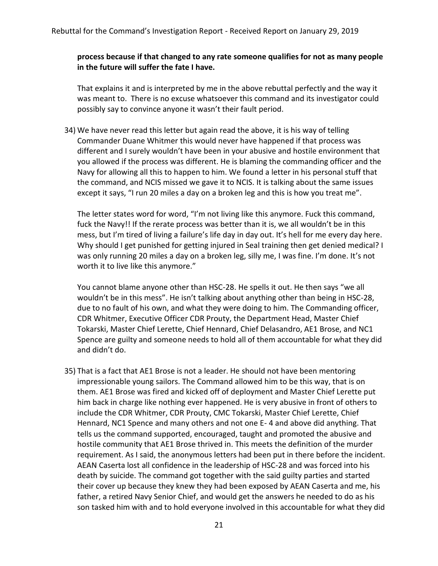### **process because if that changed to any rate someone qualifies for not as many people in the future will suffer the fate I have.**

That explains it and is interpreted by me in the above rebuttal perfectly and the way it was meant to. There is no excuse whatsoever this command and its investigator could possibly say to convince anyone it wasn't their fault period.

34) We have never read this letter but again read the above, it is his way of telling Commander Duane Whitmer this would never have happened if that process was different and I surely wouldn't have been in your abusive and hostile environment that you allowed if the process was different. He is blaming the commanding officer and the Navy for allowing all this to happen to him. We found a letter in his personal stuff that the command, and NCIS missed we gave it to NCIS. It is talking about the same issues except it says, "I run 20 miles a day on a broken leg and this is how you treat me".

The letter states word for word, "I'm not living like this anymore. Fuck this command, fuck the Navy!! If the rerate process was better than it is, we all wouldn't be in this mess, but I'm tired of living a failure's life day in day out. It's hell for me every day here. Why should I get punished for getting injured in Seal training then get denied medical? I was only running 20 miles a day on a broken leg, silly me, I was fine. I'm done. It's not worth it to live like this anymore."

You cannot blame anyone other than HSC-28. He spells it out. He then says "we all wouldn't be in this mess". He isn't talking about anything other than being in HSC-28, due to no fault of his own, and what they were doing to him. The Commanding officer, CDR Whitmer, Executive Officer CDR Prouty, the Department Head, Master Chief Tokarski, Master Chief Lerette, Chief Hennard, Chief Delasandro, AE1 Brose, and NC1 Spence are guilty and someone needs to hold all of them accountable for what they did and didn't do.

35) That is a fact that AE1 Brose is not a leader. He should not have been mentoring impressionable young sailors. The Command allowed him to be this way, that is on them. AE1 Brose was fired and kicked off of deployment and Master Chief Lerette put him back in charge like nothing ever happened. He is very abusive in front of others to include the CDR Whitmer, CDR Prouty, CMC Tokarski, Master Chief Lerette, Chief Hennard, NC1 Spence and many others and not one E- 4 and above did anything. That tells us the command supported, encouraged, taught and promoted the abusive and hostile community that AE1 Brose thrived in. This meets the definition of the murder requirement. As I said, the anonymous letters had been put in there before the incident. AEAN Caserta lost all confidence in the leadership of HSC-28 and was forced into his death by suicide. The command got together with the said guilty parties and started their cover up because they knew they had been exposed by AEAN Caserta and me, his father, a retired Navy Senior Chief, and would get the answers he needed to do as his son tasked him with and to hold everyone involved in this accountable for what they did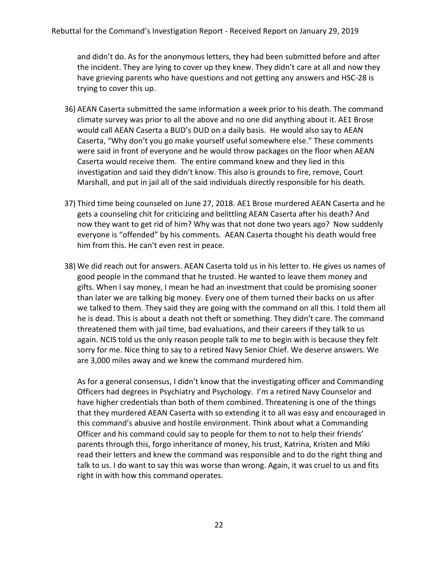and didn't do. As for the anonymous letters, they had been submitted before and after the incident. They are lying to cover up they knew. They didn't care at all and now they have grieving parents who have questions and not getting any answers and HSC-28 is trying to cover this up.

- 36) AEAN Caserta submitted the same information a week prior to his death. The command climate survey was prior to all the above and no one did anything about it. AE1 Brose would call AEAN Caserta a BUD's DUD on a daily basis. He would also say to AEAN Caserta, "Why don't you go make yourself useful somewhere else." These comments were said in front of everyone and he would throw packages on the floor when AEAN Caserta would receive them. The entire command knew and they lied in this investigation and said they didn't know. This also is grounds to fire, remove, Court Marshall, and put in jail all of the said individuals directly responsible for his death.
- 37) Third time being counseled on June 27, 2018. AE1 Brose murdered AEAN Caserta and he gets a counseling chit for criticizing and belittling AEAN Caserta after his death? And now they want to get rid of him? Why was that not done two years ago? Now suddenly everyone is "offended" by his comments. AEAN Caserta thought his death would free him from this. He can't even rest in peace.
- 38) We did reach out for answers. AEAN Caserta told us in his letter to. He gives us names of good people in the command that he trusted. He wanted to leave them money and gifts. When I say money, I mean he had an investment that could be promising sooner than later we are talking big money. Every one of them turned their backs on us after we talked to them. They said they are going with the command on all this. I told them all he is dead. This is about a death not theft or something. They didn't care. The command threatened them with jail time, bad evaluations, and their careers if they talk to us again. NCIS told us the only reason people talk to me to begin with is because they felt sorry for me. Nice thing to say to a retired Navy Senior Chief. We deserve answers. We are 3,000 miles away and we knew the command murdered him.

As for a general consensus, I didn't know that the investigating officer and Commanding Officers had degrees in Psychiatry and Psychology. I'm a retired Navy Counselor and have higher credentials than both of them combined. Threatening is one of the things that they murdered AEAN Caserta with so extending it to all was easy and encouraged in this command's abusive and hostile environment. Think about what a Commanding Officer and his command could say to people for them to not to help their friends' parents through this, forgo inheritance of money, his trust, Katrina, Kristen and Miki read their letters and knew the command was responsible and to do the right thing and talk to us. I do want to say this was worse than wrong. Again, it was cruel to us and fits right in with how this command operates.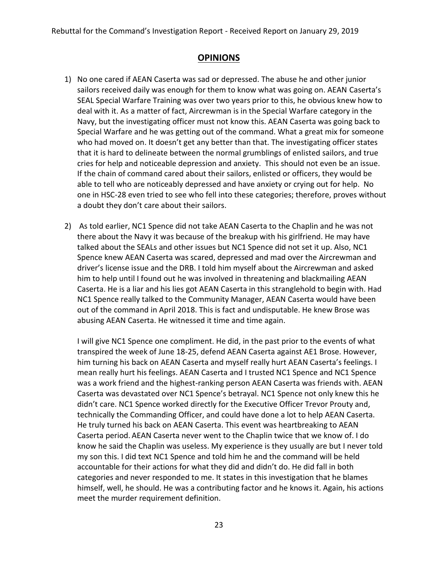# **OPINIONS**

- 1) No one cared if AEAN Caserta was sad or depressed. The abuse he and other junior sailors received daily was enough for them to know what was going on. AEAN Caserta's SEAL Special Warfare Training was over two years prior to this, he obvious knew how to deal with it. As a matter of fact, Aircrewman is in the Special Warfare category in the Navy, but the investigating officer must not know this. AEAN Caserta was going back to Special Warfare and he was getting out of the command. What a great mix for someone who had moved on. It doesn't get any better than that. The investigating officer states that it is hard to delineate between the normal grumblings of enlisted sailors, and true cries for help and noticeable depression and anxiety. This should not even be an issue. If the chain of command cared about their sailors, enlisted or officers, they would be able to tell who are noticeably depressed and have anxiety or crying out for help. No one in HSC-28 even tried to see who fell into these categories; therefore, proves without a doubt they don't care about their sailors.
- 2) As told earlier, NC1 Spence did not take AEAN Caserta to the Chaplin and he was not there about the Navy it was because of the breakup with his girlfriend. He may have talked about the SEALs and other issues but NC1 Spence did not set it up. Also, NC1 Spence knew AEAN Caserta was scared, depressed and mad over the Aircrewman and driver's license issue and the DRB. I told him myself about the Aircrewman and asked him to help until I found out he was involved in threatening and blackmailing AEAN Caserta. He is a liar and his lies got AEAN Caserta in this stranglehold to begin with. Had NC1 Spence really talked to the Community Manager, AEAN Caserta would have been out of the command in April 2018. This is fact and undisputable. He knew Brose was abusing AEAN Caserta. He witnessed it time and time again.

I will give NC1 Spence one compliment. He did, in the past prior to the events of what transpired the week of June 18-25, defend AEAN Caserta against AE1 Brose. However, him turning his back on AEAN Caserta and myself really hurt AEAN Caserta's feelings. I mean really hurt his feelings. AEAN Caserta and I trusted NC1 Spence and NC1 Spence was a work friend and the highest-ranking person AEAN Caserta was friends with. AEAN Caserta was devastated over NC1 Spence's betrayal. NC1 Spence not only knew this he didn't care. NC1 Spence worked directly for the Executive Officer Trevor Prouty and, technically the Commanding Officer, and could have done a lot to help AEAN Caserta. He truly turned his back on AEAN Caserta. This event was heartbreaking to AEAN Caserta period. AEAN Caserta never went to the Chaplin twice that we know of. I do know he said the Chaplin was useless. My experience is they usually are but I never told my son this. I did text NC1 Spence and told him he and the command will be held accountable for their actions for what they did and didn't do. He did fall in both categories and never responded to me. It states in this investigation that he blames himself, well, he should. He was a contributing factor and he knows it. Again, his actions meet the murder requirement definition.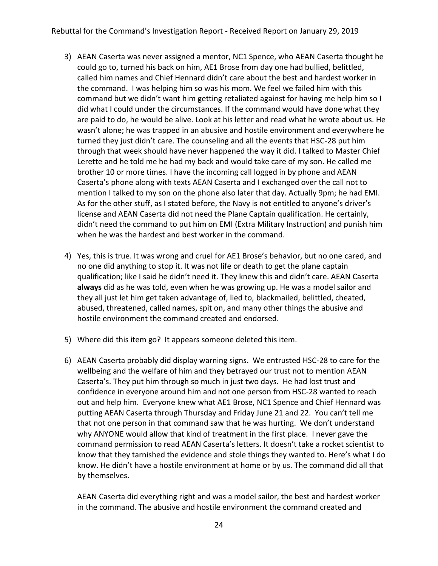- 3) AEAN Caserta was never assigned a mentor, NC1 Spence, who AEAN Caserta thought he could go to, turned his back on him, AE1 Brose from day one had bullied, belittled, called him names and Chief Hennard didn't care about the best and hardest worker in the command. I was helping him so was his mom. We feel we failed him with this command but we didn't want him getting retaliated against for having me help him so I did what I could under the circumstances. If the command would have done what they are paid to do, he would be alive. Look at his letter and read what he wrote about us. He wasn't alone; he was trapped in an abusive and hostile environment and everywhere he turned they just didn't care. The counseling and all the events that HSC-28 put him through that week should have never happened the way it did. I talked to Master Chief Lerette and he told me he had my back and would take care of my son. He called me brother 10 or more times. I have the incoming call logged in by phone and AEAN Caserta's phone along with texts AEAN Caserta and I exchanged over the call not to mention I talked to my son on the phone also later that day. Actually 9pm; he had EMI. As for the other stuff, as I stated before, the Navy is not entitled to anyone's driver's license and AEAN Caserta did not need the Plane Captain qualification. He certainly, didn't need the command to put him on EMI (Extra Military Instruction) and punish him when he was the hardest and best worker in the command.
- 4) Yes, this is true. It was wrong and cruel for AE1 Brose's behavior, but no one cared, and no one did anything to stop it. It was not life or death to get the plane captain qualification; like I said he didn't need it. They knew this and didn't care. AEAN Caserta **always** did as he was told, even when he was growing up. He was a model sailor and they all just let him get taken advantage of, lied to, blackmailed, belittled, cheated, abused, threatened, called names, spit on, and many other things the abusive and hostile environment the command created and endorsed.
- 5) Where did this item go? It appears someone deleted this item.
- 6) AEAN Caserta probably did display warning signs. We entrusted HSC-28 to care for the wellbeing and the welfare of him and they betrayed our trust not to mention AEAN Caserta's. They put him through so much in just two days. He had lost trust and confidence in everyone around him and not one person from HSC-28 wanted to reach out and help him. Everyone knew what AE1 Brose, NC1 Spence and Chief Hennard was putting AEAN Caserta through Thursday and Friday June 21 and 22. You can't tell me that not one person in that command saw that he was hurting. We don't understand why ANYONE would allow that kind of treatment in the first place. I never gave the command permission to read AEAN Caserta's letters. It doesn't take a rocket scientist to know that they tarnished the evidence and stole things they wanted to. Here's what I do know. He didn't have a hostile environment at home or by us. The command did all that by themselves.

AEAN Caserta did everything right and was a model sailor, the best and hardest worker in the command. The abusive and hostile environment the command created and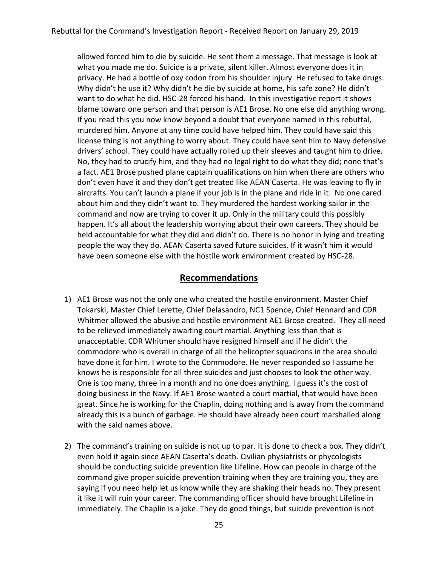allowed forced him to die by suicide. He sent them a message. That message is look at what you made me do. Suicide is a private, silent killer. Almost everyone does it in privacy. He had a bottle of oxy codon from his shoulder injury. He refused to take drugs. Why didn't he use it? Why didn't he die by suicide at home, his safe zone? He didn't want to do what he did. HSC-28 forced his hand. In this investigative report it shows blame toward one person and that person is AE1 Brose. No one else did anything wrong. If you read this you now know beyond a doubt that everyone named in this rebuttal, murdered him. Anyone at any time could have helped him. They could have said this license thing is not anything to worry about. They could have sent him to Navy defensive drivers' school. They could have actually rolled up their sleeves and taught him to drive. No, they had to crucify him, and they had no legal right to do what they did; none that's a fact. AE1 Brose pushed plane captain qualifications on him when there are others who don't even have it and they don't get treated like AEAN Caserta. He was leaving to fly in aircrafts. You can't launch a plane if your job is in the plane and ride in it. No one cared about him and they didn't want to. They murdered the hardest working sailor in the command and now are trying to cover it up. Only in the military could this possibly happen. It's all about the leadership worrying about their own careers. They should be held accountable for what they did and didn't do. There is no honor in lying and treating people the way they do. AEAN Caserta saved future suicides. If it wasn't him it would have been someone else with the hostile work environment created by HSC-28.

## **Recommendations**

- 1) AE1 Brose was not the only one who created the hostile environment. Master Chief Tokarski, Master Chief Lerette, Chief Delasandro, NC1 Spence, Chief Hennard and CDR Whitmer allowed the abusive and hostile environment AE1 Brose created. They all need to be relieved immediately awaiting court martial. Anything less than that is unacceptable. CDR Whitmer should have resigned himself and if he didn't the commodore who is overall in charge of all the helicopter squadrons in the area should have done it for him. I wrote to the Commodore. He never responded so I assume he knows he is responsible for all three suicides and just chooses to look the other way. One is too many, three in a month and no one does anything. I guess it's the cost of doing business in the Navy. If AE1 Brose wanted a court martial, that would have been great. Since he is working for the Chaplin, doing nothing and is away from the command already this is a bunch of garbage. He should have already been court marshalled along with the said names above.
- 2) The command's training on suicide is not up to par. It is done to check a box. They didn't even hold it again since AEAN Caserta's death. Civilian physiatrists or phycologists should be conducting suicide prevention like Lifeline. How can people in charge of the command give proper suicide prevention training when they are training you, they are saying if you need help let us know while they are shaking their heads no. They present it like it will ruin your career. The commanding officer should have brought Lifeline in immediately. The Chaplin is a joke. They do good things, but suicide prevention is not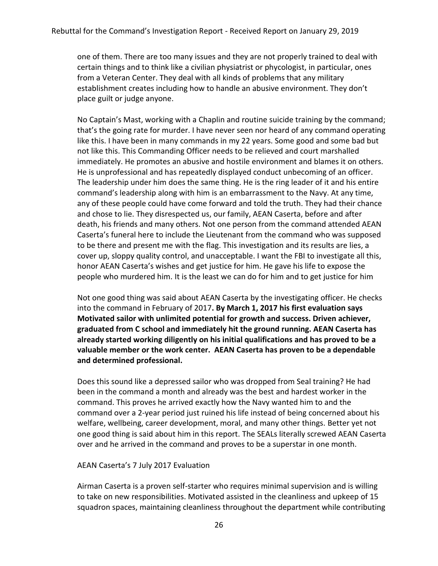one of them. There are too many issues and they are not properly trained to deal with certain things and to think like a civilian physiatrist or phycologist, in particular, ones from a Veteran Center. They deal with all kinds of problems that any military establishment creates including how to handle an abusive environment. They don't place guilt or judge anyone.

No Captain's Mast, working with a Chaplin and routine suicide training by the command; that's the going rate for murder. I have never seen nor heard of any command operating like this. I have been in many commands in my 22 years. Some good and some bad but not like this. This Commanding Officer needs to be relieved and court marshalled immediately. He promotes an abusive and hostile environment and blames it on others. He is unprofessional and has repeatedly displayed conduct unbecoming of an officer. The leadership under him does the same thing. He is the ring leader of it and his entire command's leadership along with him is an embarrassment to the Navy. At any time, any of these people could have come forward and told the truth. They had their chance and chose to lie. They disrespected us, our family, AEAN Caserta, before and after death, his friends and many others. Not one person from the command attended AEAN Caserta's funeral here to include the Lieutenant from the command who was supposed to be there and present me with the flag. This investigation and its results are lies, a cover up, sloppy quality control, and unacceptable. I want the FBI to investigate all this, honor AEAN Caserta's wishes and get justice for him. He gave his life to expose the people who murdered him. It is the least we can do for him and to get justice for him

Not one good thing was said about AEAN Caserta by the investigating officer. He checks into the command in February of 2017**. By March 1, 2017 his first evaluation says Motivated sailor with unlimited potential for growth and success. Driven achiever, graduated from C school and immediately hit the ground running. AEAN Caserta has already started working diligently on his initial qualifications and has proved to be a valuable member or the work center. AEAN Caserta has proven to be a dependable and determined professional.** 

Does this sound like a depressed sailor who was dropped from Seal training? He had been in the command a month and already was the best and hardest worker in the command. This proves he arrived exactly how the Navy wanted him to and the command over a 2-year period just ruined his life instead of being concerned about his welfare, wellbeing, career development, moral, and many other things. Better yet not one good thing is said about him in this report. The SEALs literally screwed AEAN Caserta over and he arrived in the command and proves to be a superstar in one month.

#### AEAN Caserta's 7 July 2017 Evaluation

Airman Caserta is a proven self-starter who requires minimal supervision and is willing to take on new responsibilities. Motivated assisted in the cleanliness and upkeep of 15 squadron spaces, maintaining cleanliness throughout the department while contributing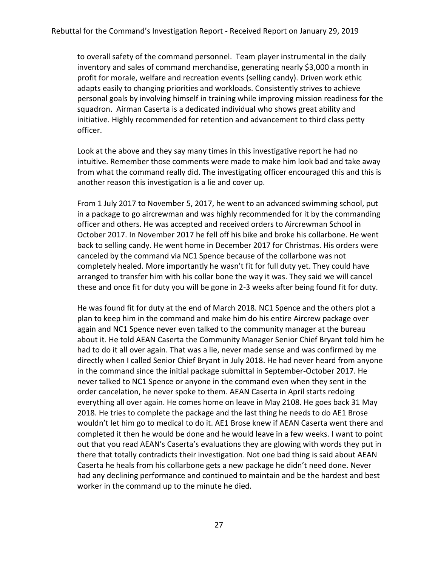to overall safety of the command personnel. Team player instrumental in the daily inventory and sales of command merchandise, generating nearly \$3,000 a month in profit for morale, welfare and recreation events (selling candy). Driven work ethic adapts easily to changing priorities and workloads. Consistently strives to achieve personal goals by involving himself in training while improving mission readiness for the squadron. Airman Caserta is a dedicated individual who shows great ability and initiative. Highly recommended for retention and advancement to third class petty officer.

Look at the above and they say many times in this investigative report he had no intuitive. Remember those comments were made to make him look bad and take away from what the command really did. The investigating officer encouraged this and this is another reason this investigation is a lie and cover up.

From 1 July 2017 to November 5, 2017, he went to an advanced swimming school, put in a package to go aircrewman and was highly recommended for it by the commanding officer and others. He was accepted and received orders to Aircrewman School in October 2017. In November 2017 he fell off his bike and broke his collarbone. He went back to selling candy. He went home in December 2017 for Christmas. His orders were canceled by the command via NC1 Spence because of the collarbone was not completely healed. More importantly he wasn't fit for full duty yet. They could have arranged to transfer him with his collar bone the way it was. They said we will cancel these and once fit for duty you will be gone in 2-3 weeks after being found fit for duty.

He was found fit for duty at the end of March 2018. NC1 Spence and the others plot a plan to keep him in the command and make him do his entire Aircrew package over again and NC1 Spence never even talked to the community manager at the bureau about it. He told AEAN Caserta the Community Manager Senior Chief Bryant told him he had to do it all over again. That was a lie, never made sense and was confirmed by me directly when I called Senior Chief Bryant in July 2018. He had never heard from anyone in the command since the initial package submittal in September-October 2017. He never talked to NC1 Spence or anyone in the command even when they sent in the order cancelation, he never spoke to them. AEAN Caserta in April starts redoing everything all over again. He comes home on leave in May 2108. He goes back 31 May 2018. He tries to complete the package and the last thing he needs to do AE1 Brose wouldn't let him go to medical to do it. AE1 Brose knew if AEAN Caserta went there and completed it then he would be done and he would leave in a few weeks. I want to point out that you read AEAN's Caserta's evaluations they are glowing with words they put in there that totally contradicts their investigation. Not one bad thing is said about AEAN Caserta he heals from his collarbone gets a new package he didn't need done. Never had any declining performance and continued to maintain and be the hardest and best worker in the command up to the minute he died.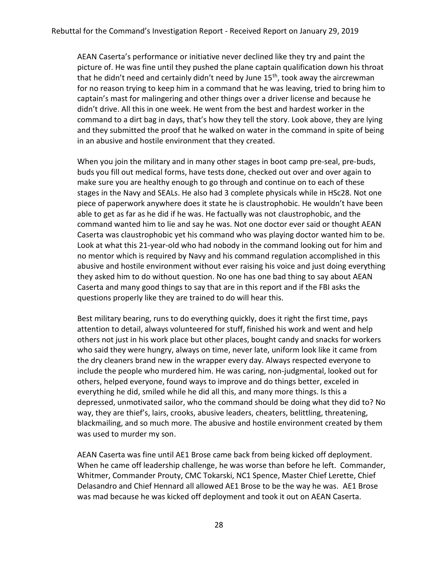AEAN Caserta's performance or initiative never declined like they try and paint the picture of. He was fine until they pushed the plane captain qualification down his throat that he didn't need and certainly didn't need by June  $15<sup>th</sup>$ , took away the aircrewman for no reason trying to keep him in a command that he was leaving, tried to bring him to captain's mast for malingering and other things over a driver license and because he didn't drive. All this in one week. He went from the best and hardest worker in the command to a dirt bag in days, that's how they tell the story. Look above, they are lying and they submitted the proof that he walked on water in the command in spite of being in an abusive and hostile environment that they created.

When you join the military and in many other stages in boot camp pre-seal, pre-buds, buds you fill out medical forms, have tests done, checked out over and over again to make sure you are healthy enough to go through and continue on to each of these stages in the Navy and SEALs. He also had 3 complete physicals while in HSc28. Not one piece of paperwork anywhere does it state he is claustrophobic. He wouldn't have been able to get as far as he did if he was. He factually was not claustrophobic, and the command wanted him to lie and say he was. Not one doctor ever said or thought AEAN Caserta was claustrophobic yet his command who was playing doctor wanted him to be. Look at what this 21-year-old who had nobody in the command looking out for him and no mentor which is required by Navy and his command regulation accomplished in this abusive and hostile environment without ever raising his voice and just doing everything they asked him to do without question. No one has one bad thing to say about AEAN Caserta and many good things to say that are in this report and if the FBI asks the questions properly like they are trained to do will hear this.

Best military bearing, runs to do everything quickly, does it right the first time, pays attention to detail, always volunteered for stuff, finished his work and went and help others not just in his work place but other places, bought candy and snacks for workers who said they were hungry, always on time, never late, uniform look like it came from the dry cleaners brand new in the wrapper every day. Always respected everyone to include the people who murdered him. He was caring, non-judgmental, looked out for others, helped everyone, found ways to improve and do things better, exceled in everything he did, smiled while he did all this, and many more things. Is this a depressed, unmotivated sailor, who the command should be doing what they did to? No way, they are thief's, lairs, crooks, abusive leaders, cheaters, belittling, threatening, blackmailing, and so much more. The abusive and hostile environment created by them was used to murder my son.

AEAN Caserta was fine until AE1 Brose came back from being kicked off deployment. When he came off leadership challenge, he was worse than before he left. Commander, Whitmer, Commander Prouty, CMC Tokarski, NC1 Spence, Master Chief Lerette, Chief Delasandro and Chief Hennard all allowed AE1 Brose to be the way he was. AE1 Brose was mad because he was kicked off deployment and took it out on AEAN Caserta.